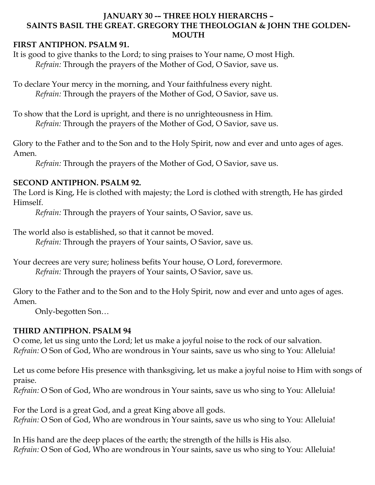#### **JANUARY 30 -– THREE HOLY HIERARCHS – SAINTS BASIL THE GREAT. GREGORY THE THEOLOGIAN & JOHN THE GOLDEN-MOUTH**

#### **FIRST ANTIPHON. PSALM 91.**

It is good to give thanks to the Lord; to sing praises to Your name, O most High. *Refrain:* Through the prayers of the Mother of God, O Savior, save us.

To declare Your mercy in the morning, and Your faithfulness every night. *Refrain:* Through the prayers of the Mother of God, O Savior, save us.

To show that the Lord is upright, and there is no unrighteousness in Him. *Refrain:* Through the prayers of the Mother of God, O Savior, save us.

Glory to the Father and to the Son and to the Holy Spirit, now and ever and unto ages of ages. Amen.

*Refrain:* Through the prayers of the Mother of God, O Savior, save us.

#### **SECOND ANTIPHON. PSALM 92.**

The Lord is King, He is clothed with majesty; the Lord is clothed with strength, He has girded Himself.

*Refrain:* Through the prayers of Your saints, O Savior, save us.

The world also is established, so that it cannot be moved.

*Refrain:* Through the prayers of Your saints, O Savior, save us.

Your decrees are very sure; holiness befits Your house, O Lord, forevermore. *Refrain:* Through the prayers of Your saints, O Savior, save us.

Glory to the Father and to the Son and to the Holy Spirit, now and ever and unto ages of ages. Amen.

Only-begotten Son…

## **THIRD ANTIPHON. PSALM 94**

O come, let us sing unto the Lord; let us make a joyful noise to the rock of our salvation. *Refrain:* O Son of God, Who are wondrous in Your saints, save us who sing to You: Alleluia!

Let us come before His presence with thanksgiving, let us make a joyful noise to Him with songs of praise.

*Refrain:* O Son of God, Who are wondrous in Your saints, save us who sing to You: Alleluia!

For the Lord is a great God, and a great King above all gods. *Refrain:* O Son of God, Who are wondrous in Your saints, save us who sing to You: Alleluia!

In His hand are the deep places of the earth; the strength of the hills is His also. *Refrain:* O Son of God, Who are wondrous in Your saints, save us who sing to You: Alleluia!